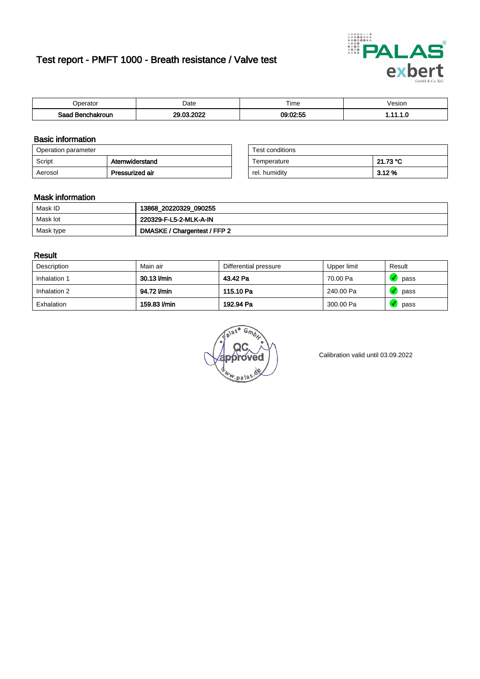# Test report - PMFT 1000 - Breath resistance / Valve test



| 'perator         | Date                | $- \cdot$<br><b>Time</b> | √esion |
|------------------|---------------------|--------------------------|--------|
| Saad Benchakroun | 0000<br>$\sim$<br>ົ | 09:02:55                 | .      |

### Basic information

| Operation parameter |                 | Test conditions |          |
|---------------------|-----------------|-----------------|----------|
| Script              | Atemwiderstand  | Temperature     | 21.73 °C |
| Aerosol             | Pressurized air | rel. humidity   | 3.12%    |

| Test conditions |          |
|-----------------|----------|
| Temperature     | 21.73 °C |
| rel. humidity   | 3.12%    |

### Mask information

| Mask ID   | 13868_20220329_090255        |
|-----------|------------------------------|
| Mask lot  | 220329-F-L5-2-MLK-A-IN       |
| Mask type | DMASKE / Chargentest / FFP 2 |

### Result

| Description  | Main air     | Differential pressure | Upper limit | Result |
|--------------|--------------|-----------------------|-------------|--------|
| Inhalation 1 | 30.13 l/min  | 43.42 Pa              | 70.00 Pa    | pass   |
| Inhalation 2 | 94.72 l/min  | 115.10 Pa             | 240.00 Pa   | pass   |
| Exhalation   | 159.83 l/min | 192.94 Pa             | 300.00 Pa   | pass   |

w.pala

Calibration valid until 03.09.2022